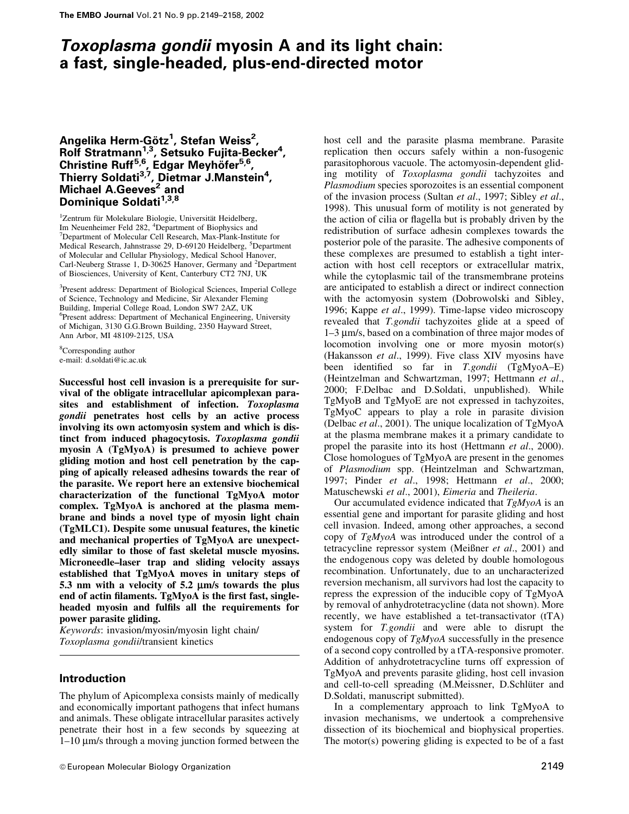# Toxoplasma gondii myosin A and its light chain: a fast, single-headed, plus-end-directed motor

# Angelika Herm-Götz $^1$ , Stefan Weiss $^2$ , Rolf Stratmann<sup>1,3</sup>, Setsuko Fujita-Becker<sup>4</sup>, Christine Ruff<sup>5,6</sup>, Edgar Meyhöfer<sup>5,6</sup>, Thierry Soldati<sup>3,7</sup>, Dietmar J.Manstein<sup>4</sup>, **Michael A.Geeves<sup>2</sup> and** Dominique Soldati<sup>1,3,8</sup>

<sup>1</sup>Zentrum für Molekulare Biologie, Universität Heidelberg, Im Neuenheimer Feld 282, <sup>4</sup>Department of Biophysics and <sup>7</sup>Department of Molecular Cell Bessersh Max Plank Institution <sup>7</sup>Department of Molecular Cell Research, Max-Plank-Institute for Medical Research, Jahnstrasse 29, D-69120 Heidelberg, <sup>5</sup>Department of Molecular and Cellular Physiology, Medical School Hanover, Carl-Neuberg Strasse 1, D-30625 Hanover, Germany and <sup>2</sup>Department of Biosciences, University of Kent, Canterbury CT2 7NJ, UK

<sup>3</sup>Present address: Department of Biological Sciences, Imperial College of Science, Technology and Medicine, Sir Alexander Fleming Building, Imperial College Road, London SW7 2AZ, UK 6 Present address: Department of Mechanical Engineering, University of Michigan, 3130 G.G.Brown Building, 2350 Hayward Street, Ann Arbor, MI 48109-2125, USA

<sup>8</sup>Corresponding author e-mail: d.soldati@ic.ac.uk

Successful host cell invasion is a prerequisite for survival of the obligate intracellular apicomplexan parasites and establishment of infection. Toxoplasma gondii penetrates host cells by an active process involving its own actomyosin system and which is distinct from induced phagocytosis. Toxoplasma gondii myosin A (TgMyoA) is presumed to achieve power gliding motion and host cell penetration by the capping of apically released adhesins towards the rear of the parasite. We report here an extensive biochemical characterization of the functional TgMyoA motor complex. TgMyoA is anchored at the plasma membrane and binds a novel type of myosin light chain (TgMLC1). Despite some unusual features, the kinetic and mechanical properties of TgMyoA are unexpectedly similar to those of fast skeletal muscle myosins. Microneedle-laser trap and sliding velocity assays established that TgMyoA moves in unitary steps of 5.3 nm with a velocity of  $5.2 \mu m/s$  towards the plus end of actin filaments. TgMyoA is the first fast, singleheaded myosin and fulfils all the requirements for power parasite gliding.

Keywords: invasion/myosin/myosin light chain/ Toxoplasma gondii/transient kinetics

# Introduction

The phylum of Apicomplexa consists mainly of medically and economically important pathogens that infect humans and animals. These obligate intracellular parasites actively penetrate their host in a few seconds by squeezing at  $1-10 \mu m/s$  through a moving junction formed between the

host cell and the parasite plasma membrane. Parasite replication then occurs safely within a non-fusogenic parasitophorous vacuole. The actomyosin-dependent gliding motility of Toxoplasma gondii tachyzoites and Plasmodium species sporozoites is an essential component of the invasion process (Sultan et al., 1997; Sibley et al., 1998). This unusual form of motility is not generated by the action of cilia or flagella but is probably driven by the redistribution of surface adhesin complexes towards the posterior pole of the parasite. The adhesive components of these complexes are presumed to establish a tight interaction with host cell receptors or extracellular matrix, while the cytoplasmic tail of the transmembrane proteins are anticipated to establish a direct or indirect connection with the actomyosin system (Dobrowolski and Sibley, 1996; Kappe et al., 1999). Time-lapse video microscopy revealed that T.gondii tachyzoites glide at a speed of 1–3 µm/s, based on a combination of three major modes of locomotion involving one or more myosin motor(s) (Hakansson et al., 1999). Five class XIV myosins have been identified so far in  $T_{.}gondii$  (TgMyoA-E) (Heintzelman and Schwartzman, 1997; Hettmann et al., 2000; F.Delbac and D.Soldati, unpublished). While TgMyoB and TgMyoE are not expressed in tachyzoites, TgMyoC appears to play a role in parasite division (Delbac et al., 2001). The unique localization of TgMyoA at the plasma membrane makes it a primary candidate to propel the parasite into its host (Hettmann et al., 2000). Close homologues of TgMyoA are present in the genomes of Plasmodium spp. (Heintzelman and Schwartzman, 1997; Pinder et al., 1998; Hettmann et al., 2000; Matuschewski et al., 2001), Eimeria and Theileria.

Our accumulated evidence indicated that  $TgMyoA$  is an essential gene and important for parasite gliding and host cell invasion. Indeed, among other approaches, a second copy of TgMyoA was introduced under the control of a tetracycline repressor system (Meißner et al., 2001) and the endogenous copy was deleted by double homologous recombination. Unfortunately, due to an uncharacterized reversion mechanism, all survivors had lost the capacity to repress the expression of the inducible copy of TgMyoA by removal of anhydrotetracycline (data not shown). More recently, we have established a tet-transactivator (tTA) system for T.gondii and were able to disrupt the endogenous copy of TgMyoA successfully in the presence of a second copy controlled by a tTA-responsive promoter. Addition of anhydrotetracycline turns off expression of TgMyoA and prevents parasite gliding, host cell invasion and cell-to-cell spreading (M.Meissner, D.Schlüter and D.Soldati, manuscript submitted).

In a complementary approach to link TgMyoA to invasion mechanisms, we undertook a comprehensive dissection of its biochemical and biophysical properties. The motor(s) powering gliding is expected to be of a fast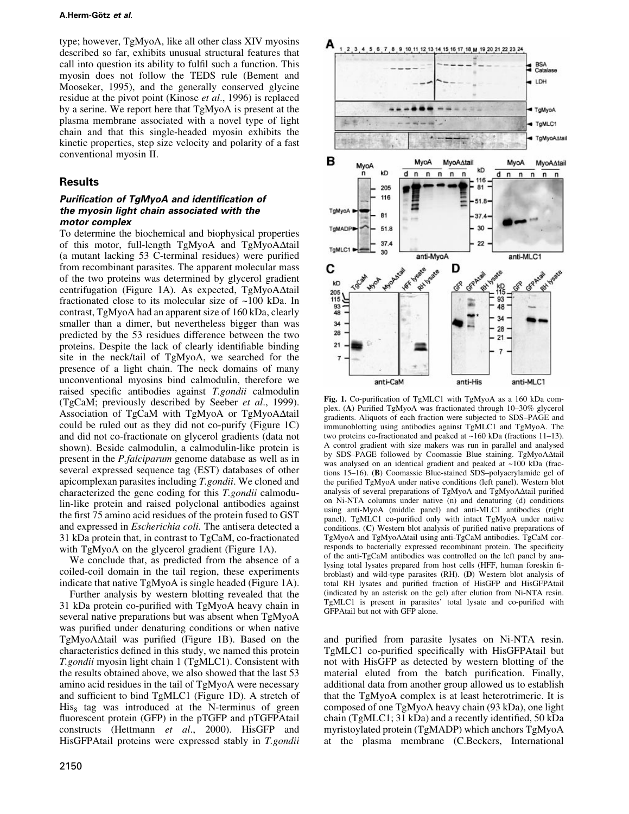type; however, TgMyoA, like all other class XIV myosins described so far, exhibits unusual structural features that call into question its ability to fulfil such a function. This myosin does not follow the TEDS rule (Bement and Mooseker, 1995), and the generally conserved glycine residue at the pivot point (Kinose et al., 1996) is replaced by a serine. We report here that TgMyoA is present at the plasma membrane associated with a novel type of light chain and that this single-headed myosin exhibits the kinetic properties, step size velocity and polarity of a fast conventional myosin II.

# **Results**

## Purification of TgMyoA and identification of the myosin light chain associated with the motor complex

To determine the biochemical and biophysical properties of this motor, full-length  $TgMyoA$  and  $TgMyoA\Delta tail$ (a mutant lacking 53 C-terminal residues) were purified from recombinant parasites. The apparent molecular mass of the two proteins was determined by glycerol gradient centrifugation (Figure 1A). As expected,  $TgMyoA\Delta tail$ fractionated close to its molecular size of ~100 kDa. In contrast, TgMyoA had an apparent size of 160 kDa, clearly smaller than a dimer, but nevertheless bigger than was predicted by the 53 residues difference between the two proteins. Despite the lack of clearly identifiable binding site in the neck/tail of TgMyoA, we searched for the presence of a light chain. The neck domains of many unconventional myosins bind calmodulin, therefore we raised specific antibodies against T.gondii calmodulin (TgCaM; previously described by Seeber et al., 1999). Association of TgCaM with TgMyoA or TgMyoA $\Delta$ tail could be ruled out as they did not co-purify (Figure 1C) and did not co-fractionate on glycerol gradients (data not shown). Beside calmodulin, a calmodulin-like protein is present in the P.falciparum genome database as well as in several expressed sequence tag (EST) databases of other apicomplexan parasites including T.gondii. We cloned and characterized the gene coding for this T.gondii calmodulin-like protein and raised polyclonal antibodies against the first 75 amino acid residues of the protein fused to GST and expressed in Escherichia coli. The antisera detected a 31 kDa protein that, in contrast to TgCaM, co-fractionated with TgMyoA on the glycerol gradient (Figure 1A).

We conclude that, as predicted from the absence of a coiled-coil domain in the tail region, these experiments indicate that native TgMyoA is single headed (Figure 1A).

Further analysis by western blotting revealed that the 31 kDa protein co-purified with TgMyoA heavy chain in several native preparations but was absent when TgMyoA was purified under denaturing conditions or when native  $TgMyoA\Delta$ tail was purified (Figure 1B). Based on the characteristics defined in this study, we named this protein T.gondii myosin light chain 1 (TgMLC1). Consistent with the results obtained above, we also showed that the last 53 amino acid residues in the tail of TgMyoA were necessary and sufficient to bind TgMLC1 (Figure 1D). A stretch of  $His<sub>8</sub>$  tag was introduced at the N-terminus of green fluorescent protein (GFP) in the pTGFP and pTGFPAtail constructs (Hettmann et al., 2000). HisGFP and HisGFPAtail proteins were expressed stably in T.gondii



2 3 4 5 6 7 8 9 10 11 12 13 14 15 16 17 18 M 19 20 21 22 23 24

Fig. 1. Co-purification of TgMLC1 with TgMyoA as a 160 kDa complex. (A) Purified TgMyoA was fractionated through 10-30% glycerol gradients. Aliquots of each fraction were subjected to SDS-PAGE and immunoblotting using antibodies against TgMLC1 and TgMyoA. The two proteins co-fractionated and peaked at  $~160$  kDa (fractions 11-13). A control gradient with size makers was run in parallel and analysed by SDS-PAGE followed by Coomassie Blue staining. TgMyoA $\Delta$ tail was analysed on an identical gradient and peaked at ~100 kDa (fractions 15-16). (B) Coomassie Blue-stained SDS-polyacrylamide gel of the purified TgMyoA under native conditions (left panel). Western blot analysis of several preparations of TgMyoA and TgMyoA $\Delta$ tail purified on Ni-NTA columns under native (n) and denaturing (d) conditions using anti-MyoA (middle panel) and anti-MLC1 antibodies (right panel). TgMLC1 co-purified only with intact TgMyoA under native conditions. (C) Western blot analysis of purified native preparations of TgMyoA and TgMyoA $\Delta$ tail using anti-TgCaM antibodies. TgCaM corresponds to bacterially expressed recombinant protein. The specificity of the anti-TgCaM antibodies was controlled on the left panel by analysing total lysates prepared from host cells (HFF, human foreskin fibroblast) and wild-type parasites (RH). (D) Western blot analysis of total RH lysates and purified fraction of HisGFP and HisGFPAtail (indicated by an asterisk on the gel) after elution from Ni-NTA resin. TgMLC1 is present in parasites' total lysate and co-purified with GFPAtail but not with GFP alone.

and purified from parasite lysates on Ni-NTA resin. TgMLC1 co-purified specifically with HisGFPAtail but not with HisGFP as detected by western blotting of the material eluted from the batch purification. Finally, additional data from another group allowed us to establish that the TgMyoA complex is at least heterotrimeric. It is composed of one TgMyoA heavy chain (93 kDa), one light chain (TgMLC1; 31 kDa) and a recently identified, 50 kDa myristoylated protein (TgMADP) which anchors TgMyoA at the plasma membrane (C.Beckers, International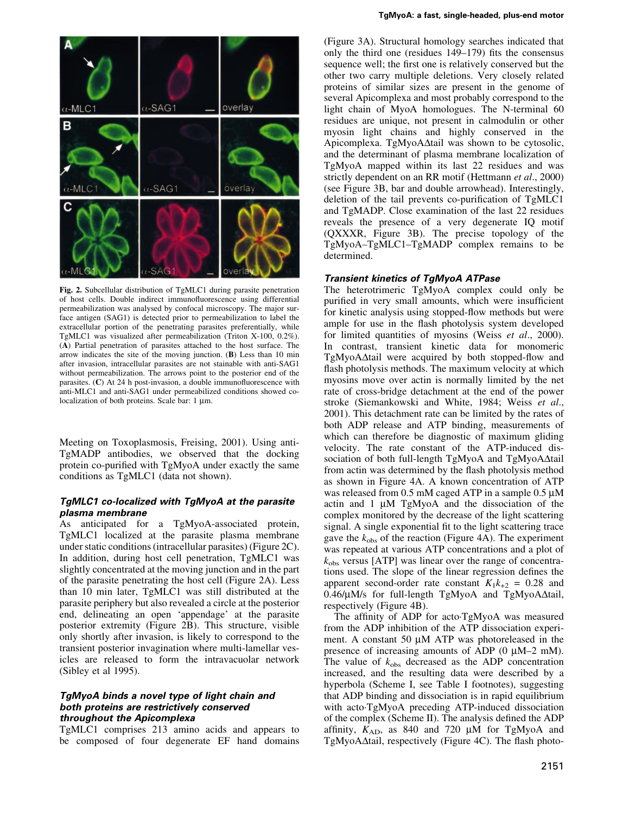

Fig. 2. Subcellular distribution of TgMLC1 during parasite penetration of host cells. Double indirect immunofluorescence using differential permeabilization was analysed by confocal microscopy. The major surface antigen (SAG1) is detected prior to permeabilization to label the extracellular portion of the penetrating parasites preferentially, while TgMLC1 was visualized after permeabilization (Triton X-100, 0.2%). (A) Partial penetration of parasites attached to the host surface. The arrow indicates the site of the moving junction. (B) Less than 10 min after invasion, intracellular parasites are not stainable with anti-SAG1 without permeabilization. The arrows point to the posterior end of the parasites.  $(C)$  At 24 h post-invasion, a double immunofluorescence with anti-MLC1 and anti-SAG1 under permeabilized conditions showed colocalization of both proteins. Scale bar:  $1 \mu m$ .

Meeting on Toxoplasmosis, Freising, 2001). Using anti-TgMADP antibodies, we observed that the docking protein co-purified with TgMyoA under exactly the same conditions as TgMLC1 (data not shown).

## TgMLC1 co-localized with TgMyoA at the parasite plasma membrane

As anticipated for a TgMyoA-associated protein, TgMLC1 localized at the parasite plasma membrane under static conditions (intracellular parasites) (Figure 2C). In addition, during host cell penetration, TgMLC1 was slightly concentrated at the moving junction and in the part of the parasite penetrating the host cell (Figure 2A). Less than 10 min later, TgMLC1 was still distributed at the parasite periphery but also revealed a circle at the posterior end, delineating an open `appendage' at the parasite posterior extremity (Figure 2B). This structure, visible only shortly after invasion, is likely to correspond to the transient posterior invagination where multi-lamellar vesicles are released to form the intravacuolar network (Sibley et al 1995).

## TgMyoA binds a novel type of light chain and both proteins are restrictively conserved throughout the Apicomplexa

TgMLC1 comprises 213 amino acids and appears to be composed of four degenerate EF hand domains

(Figure 3A). Structural homology searches indicated that only the third one (residues  $149-179$ ) fits the consensus sequence well; the first one is relatively conserved but the other two carry multiple deletions. Very closely related proteins of similar sizes are present in the genome of several Apicomplexa and most probably correspond to the light chain of MyoA homologues. The N-terminal 60 residues are unique, not present in calmodulin or other myosin light chains and highly conserved in the Apicomplexa. TgMyoA $\Delta$ tail was shown to be cytosolic, and the determinant of plasma membrane localization of TgMyoA mapped within its last 22 residues and was strictly dependent on an RR motif (Hettmann et al., 2000) (see Figure 3B, bar and double arrowhead). Interestingly, deletion of the tail prevents co-purification of TgMLC1 and TgMADP. Close examination of the last 22 residues reveals the presence of a very degenerate IQ motif (QXXXR, Figure 3B). The precise topology of the TgMyoA-TgMLC1-TgMADP complex remains to be determined.

#### Transient kinetics of TgMyoA ATPase

The heterotrimeric TgMyoA complex could only be purified in very small amounts, which were insufficient for kinetic analysis using stopped-flow methods but were ample for use in the flash photolysis system developed for limited quantities of myosins (Weiss et al., 2000). In contrast, transient kinetic data for monomeric  $TgMyoA\Delta t$ ail were acquired by both stopped-flow and flash photolysis methods. The maximum velocity at which myosins move over actin is normally limited by the net rate of cross-bridge detachment at the end of the power stroke (Siemankowski and White, 1984; Weiss et al., 2001). This detachment rate can be limited by the rates of both ADP release and ATP binding, measurements of which can therefore be diagnostic of maximum gliding velocity. The rate constant of the ATP-induced dissociation of both full-length TgMyoA and TgMyoA $\Delta$ tail from actin was determined by the flash photolysis method as shown in Figure 4A. A known concentration of ATP was released from 0.5 mM caged ATP in a sample  $0.5 \mu$ M actin and  $1 \mu M$  TgMyoA and the dissociation of the complex monitored by the decrease of the light scattering signal. A single exponential fit to the light scattering trace gave the  $k_{obs}$  of the reaction (Figure 4A). The experiment was repeated at various ATP concentrations and a plot of  $k_{\text{obs}}$  versus [ATP] was linear over the range of concentrations used. The slope of the linear regression defines the apparent second-order rate constant  $K_1k_{+2} = 0.28$  and  $0.46/\mu$ M/s for full-length TgMyoA and TgMyoA $\Delta$ tail, respectively (Figure 4B).

The affinity of ADP for acto<sup>TgMyoA</sup> was measured from the ADP inhibition of the ATP dissociation experiment. A constant  $50 \mu M$  ATP was photoreleased in the presence of increasing amounts of ADP  $(0 \mu M-2 \mu)$ . The value of  $k_{obs}$  decreased as the ADP concentration increased, and the resulting data were described by a hyperbola (Scheme I, see Table I footnotes), suggesting that ADP binding and dissociation is in rapid equilibrium with acto $TgMy$ oA preceding ATP-induced dissociation of the complex (Scheme II). The analysis defined the ADP affinity,  $K_{AD}$ , as 840 and 720  $\mu$ M for TgMyoA and TgMyoA $\Delta$ tail, respectively (Figure 4C). The flash photo-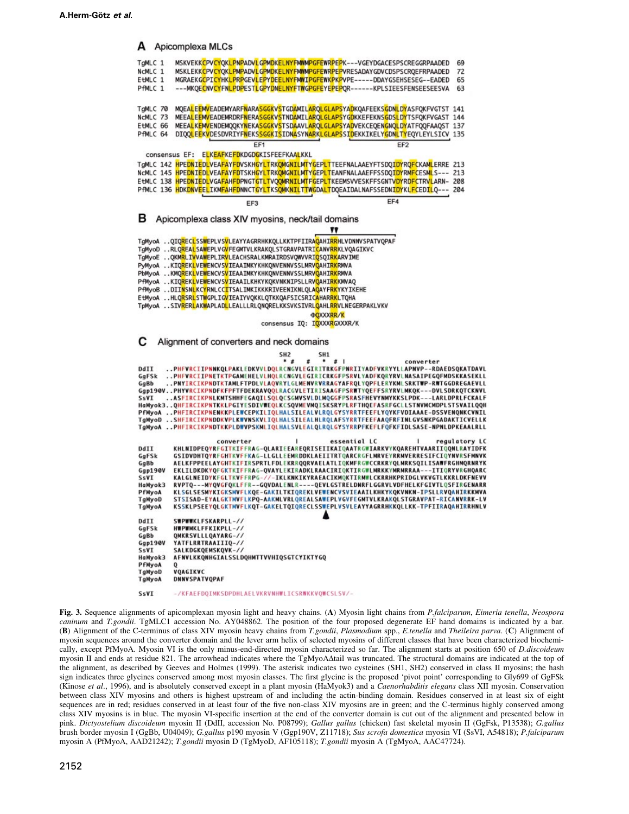A Apicomplexa MLCs MSKVEKKCPVCYQKLPNPADVLGPMDKELNYFMWMPGFEWRPEPK---VGEYDGACESPSCREGGRPAADED TaMLC 1 69 MSKLEKKCPVCYOKLPMPADVLGPMDKELNYFMWMPGFEWRPEPVRESADAYGDVCDSPSCROEFRPAADED  $NcMC$  1 72 MGRAEKGCPICYHKLPRPGEVLEPYDEELNYFMWIPGFEWKPKPVPE-----DDAYGSEHSESEG--EADED  $F+MI C 1$ 65 PfMLC 1 ---MKQECNVCYFNLPDPESTLGPYDNELNYFTWGPGFEYEPEPQR------KPLSIEESFENSEESEESVA 63 TgMLC 70 MOEALEEMVEADEMYARFNARASGGKVSTGDAMILAROLGLAPSYADKOAFEEKSGDNLDYASFOKFVGTST 141 MEEALEEMVEADEMRDRFNERASGGKVSTNDAMILARQLGLAPSYGDKKEFEKNSGDSLDYTSFQKFVGAST 144 NCMLC 73 MEEALKEMVENDEMQQKYNEKASGGKVSTSDAAVLARQLGLAPSYADVEKCEQENGNQLDYATFQQFAAQST 137 EtMLC 66 DIQQLEEKVDESDVRIYFNEKSSGGKISIDNASYNARKLGLAPSSIDEKKIKELYGDNLTYEQYLEYLSICV 135 **PRMIC 64**  $FF1$ EE2 consensus EF: ELKEAFKEFDKDGDGKISFEEFKAALKKL TgMLC 142 HPEDNIEDLVEAFAYFDVSKHGYLTRKOMGNILMTYGEPLTTEEFNALAAEYFTSDQIDYRQFCKAMLERRE 213 NCMLC 145 HPEDNIEDLVEAFAYFDTSKHGYLTRKOMGNILMTYGEPLTEANFNALAAEFFSSDQIDYRMFCESMLS--- 213 EtMLC 138 HPEDNIEDLVGAFAHFDPNGTGTLTVQQMRNILMTFGEPLTKEEMSVVESKFFSGNTVDYRDFCTRVLARN- 208 PFMLC 136 HDKDNVEELIKMFAHFDNNCTGYLTKSQMKNILTTWGDALTDQEAIDALNAFSSEDNIDYKLFCEDILQ --- 204 EF3 в Apicomplexa class XIV myosins, neck/tail domains TgMyoA ..QIQRECLSSWEPLVSVLEAYYAGRRHKKQLLKKTPFIIRAQAHIRRHLVDNNVSPATVQPAF TgMyoD ..RLQREALSAWEPLVGVFEGMTVLKRAKQLSTGRAVPATRICANVRRKLVQAGIKVC TgMyoE ..QKMRLIVVAWEPLIRVLEACHSRALKMRAIRDSVQWVVRIQSQIRKARVIME PyMyoA ..KIQ<mark>REKL</mark>VE<mark>W</mark>ENCVS<mark>V</mark>IEAAIMKYKHKQNVENNVSSLMRV<mark>Q</mark>AHI<mark>RK</mark>RMVA PbMyoA ..KMQREKLVEWENCVSVIEAAIMKYKHKQNVENNVSSLMRVQAHIRKRMVA PfMyoA ..KIQ<mark>R</mark>EK<mark>L</mark>VEWENCVS<mark>V</mark>IEAAILKHKYKQKVNKNIPSLLRV<mark>Q</mark>AHI<mark>RK</mark>KMVAQ PfMyoB ..DIINSNLKCYRNLCCITSALIMKIKKKRIVEENIKNLQLAQAYFRKYKYIKEHE EtMyoA ..HLQ<mark>RSRL</mark>ST<mark>W</mark>GPLIGVIEAIYVQKKLQTKKQAFSICSRICAHAR<mark>RK</mark>LTQHA TpMyoA ..SIV<mark>RERL</mark>AKWAPLADLLEALLLRLQNQRELKKSVKSIVRL<mark>Q</mark>AHL<mark>RR</mark>VLNEGERPAKLVKV **DQXXXRR/K** consensus IQ: IQXXXRGXXXR/K c Alignment of converters and neck domains SH<sub>2</sub> SH<sub>1</sub>  $...$  $#$ converter ..PHFVRCIIPNNKQLPAKLEDKVVLDQLRCNGVLEGIRITRKGFPNRIIYADFVKRYYLLAPNVP--RDAEDSQKATDAVL DdIJ ..PHFVRCIIPNETKTPGAMEHELVLHQLRCNGVLEGIRICRKGFPSRVLYADFKQRYRVLNASAIPEGQFMDSKKASEKLL GgFSk ..PNYIRCIKPNDTKTAMLFTPDLVLAQVRYLGLMENVRVRRAGYAFRQLYQPFLERYKMLSRKTWP-RWTGGDREGAEVLL GgBb Ggp190V..PHYVRCIKPNDFKFPFTFDEKRAVQQLRACGVLETIRISAAGFPSRWTYQEFFSRYRVLMKQK---DVLSDRKQTCKNVL SSVI ..ASFIRCIKPNLKMTSHHFEGAQILSQLQCSGMVSVLDLMQGGFPSRASFHEVYNMYKKSLPDK---LARLDPRLFCKALF<br>HaMyok3..QHFIRCIKPNTKKLPGIYESDIVWEQLKCSQVMEVMQISKSRYPLRFTHQEFASRFGCLLSTNVMCMDPLSTSVAILQQH PfMyoA ..PHFIRCIKPNENKKPLEWCEPKILIQLHALSILEALVLRQLGYSYRRTFEEFLYQYKFVDIAAAE-DSSVENQNKCVNIL TgMyoD .SHEIRCIKPNDDKVPLKWVNSKVLIOLHALSILEALHLROLAFSYRRTFEEFAAOFRFINLGVSNKPGADAKTICVELLK ..PHFIRCIKPNDTKKPLDWVPSKMLIOLHALSVLEALOLROLGYSYRRPFKEFLFOFKFIDLSASE-NPNLDPKEAALRLL TaMyoA converter | essential LC | regulatory LC<br>KHLNIDPEQYRFGITKIFFRAG-QLARIEEAREQRISEIIKAIQAATRGWIARKVYKQAREHTVAARIIQQNLRAYIDFK regulatory LC DdII GSIDVDHTQYRFGHTKVFFKAG-LLGLLEEMRDDKLAEIITRTQARCRGFLMRVEYRRMVERRESIFCIQYNVRSFMNVK GgFSk GaBb **AELKFPPEELAYGHTKIFIRSPRTLFDLEKRROORVAELATLIOKMFRGWCCRKRYOLMRKSOILISAWFRGHMORNRYK** EKLILDKDKYQFGKTKIFFRAG-QVAYLEKIRADKLRAACIRIQKTIRGWLMRKKYMRMRRAA---ITIQRYVRGHQARC  $Gqp190V$ SsVI KALGLNEIDYKFGLTKVFFRPG-//-IKLKNKIKYRAEACIKMQKTIRMWLCKRRHKPRIDGLVKVGTLKKRLDKFNEVV HaMyok3 RVPTO---MYOVGFOKLFFR--GOVDALENLR----OEVLGSTRELDNRFLGGRVLVDFHELKFGIVTLOSFIRGENARR KLSGLSESMYKIGKSMVFLKQE-GAKILTKIQREKLVEWENCVSVIEAAILKHKYKQKVNKN-IPSLLRVQAHIRKKMVA PfMvoA STSISAD-EYALGKTMVFLKPQ-AAKMLVRLQREALSAWEPLVGVFEGMTVLKRAKQLSTGRAVPAT-RICANVRRK-LV TgMyoD TgMyoA KSSKLPSEEYQLGKTMVFLKQT-GAKELTQIQRECLSSWEPLVSVLEAYYAGRRHKKQLLKK-TPFIIRAQAHIRRHNLV DdII SWPWWKLFSKARPLL-// GgFSk HWPWMKLFFKIKPLL-// QMKRSVLLLQAYARG-// GqBb  $Ggp190V$ YATFLRRTRAAIIIQ-// SsVI SALKDGKOEMSKOVK-// AFNVLKKQNHGIALSSLDQHMTTVVHIQSGTCYIKTYGQ HaMyok3 PfMyoA TgMyoD **VOAGTKVC DNNVSPATVQPAF** TgMyoA

SsVI -/KFAEFDOIMKSDPDHLAELVKRVNHWLICSRWKKVOWCSLSV/-

Fig. 3. Sequence alignments of apicomplexan myosin light and heavy chains. (A) Myosin light chains from P.falciparum, Eimeria tenella, Neospora caninum and T.gondii. TgMLC1 accession No. AY048862. The position of the four proposed degenerate EF hand domains is indicated by a bar. (B) Alignment of the C-terminus of class XIV myosin heavy chains from T.gondii, Plasmodium spp., E.tenella and Theileira parva. (C) Alignment of myosin sequences around the converter domain and the lever arm helix of selected myosins of different classes that have been characterized biochemically, except PfMyoA. Myosin VI is the only minus-end-directed myosin characterized so far. The alignment starts at position 650 of D.discoideum myosin II and ends at residue 821. The arrowhead indicates where the TgMyoA $\Delta$ tail was truncated. The structural domains are indicated at the top of the alignment, as described by Geeves and Holmes (1999). The asterisk indicates two cysteines (SH1, SH2) conserved in class II myosins; the hash sign indicates three glycines conserved among most myosin classes. The first glycine is the proposed 'pivot point' corresponding to Gly699 of GgFSk (Kinose et al., 1996), and is absolutely conserved except in a plant myosin (HaMyok3) and a Caenorhabditis elegans class XII myosin. Conservation between class XIV myosins and others is highest upstream of and including the actin-binding domain. Residues conserved in at least six of eight sequences are in red; residues conserved in at least four of the five non-class XIV myosins are in green; and the C-terminus highly conserved among class XIV myosins is in blue. The myosin VI-specific insertion at the end of the converter domain is cut out of the alignment and presented below in pink. Dictyostelium discoideum myosin II (DdII, accession No. P08799); Gallus gallus (chicken) fast skeletal myosin II (GgFsk, P13538); G.gallus brush border myosin I (GgBb, U04049); G.gallus p190 myosin V (Ggp190V, Z11718); Sus scrofa domestica myosin VI (SsVI, A54818); P.falciparum myosin A (PfMyoA, AAD21242); T.gondii myosin D (TgMyoD, AF105118); T.gondii myosin A (TgMyoA, AAC47724).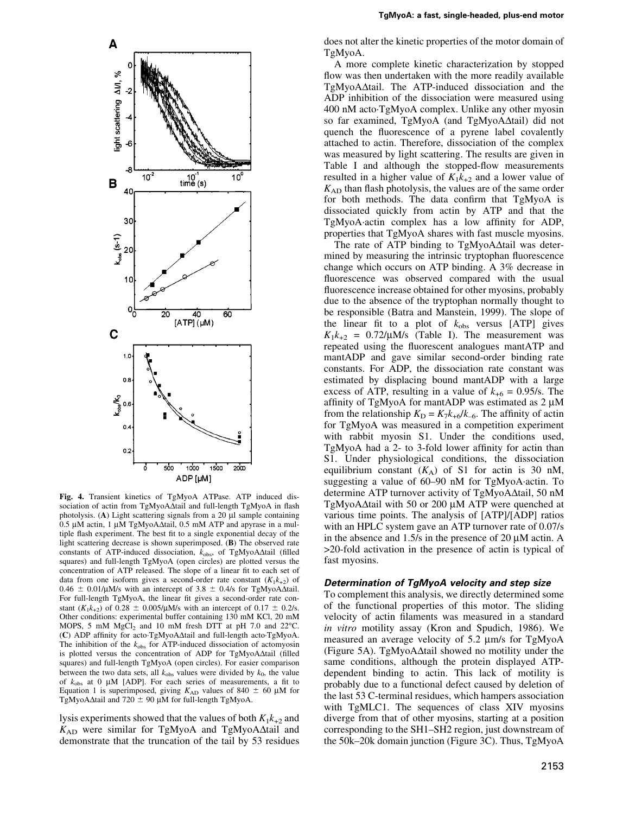

Fig. 4. Transient kinetics of TgMyoA ATPase. ATP induced dissociation of actin from TgMyoA $\Delta$ tail and full-length TgMyoA in flash photolysis. (A) Light scattering signals from a 20  $\mu$ l sample containing  $0.5 \mu$ M actin, 1  $\mu$ M TgMyoA $\Delta$ tail, 0.5 mM ATP and apyrase in a multiple flash experiment. The best fit to a single exponential decay of the light scattering decrease is shown superimposed. (B) The observed rate constants of ATP-induced dissociation,  $k_{obs}$ , of TgMyoA $\Delta$ tail (filled squares) and full-length TgMyoA (open circles) are plotted versus the concentration of ATP released. The slope of a linear fit to each set of data from one isoform gives a second-order rate constant  $(K_1k_{+2})$  of  $0.46 \pm 0.01/\mu$ M/s with an intercept of 3.8  $\pm$  0.4/s for TgMyoA $\Delta$ tail. For full-length TgMyoA, the linear fit gives a second-order rate constant  $(K_1k_{+2})$  of 0.28  $\pm$  0.005/µM/s with an intercept of 0.17  $\pm$  0.2/s. Other conditions: experimental buffer containing 130 mM KCl, 20 mM MOPS, 5 mM  $MgCl<sub>2</sub>$  and 10 mM fresh DTT at pH 7.0 and 22 $^{\circ}$ C. (C) ADP affinity for acto $TgMyoA\Delta$ tail and full-length acto $TgMyoA$ . The inhibition of the  $k_{obs}$  for ATP-induced dissociation of actomyosin is plotted versus the concentration of ADP for  $TgMyoA\Delta t$ ail (filled squares) and full-length TgMyoA (open circles). For easier comparison between the two data sets, all  $k_{obs}$  values were divided by  $k_0$ , the value of  $k_{obs}$  at 0 µM [ADP]. For each series of measurements, a fit to Equation 1 is superimposed, giving  $K_{AD}$  values of 840  $\pm$  60 µM for TgMyoA $\Delta$ tail and 720  $\pm$  90  $\mu$ M for full-length TgMyoA.

lysis experiments showed that the values of both  $K_1k_{+2}$  and  $K_{AD}$  were similar for TgMyoA and TgMyoA $\Delta$ tail and demonstrate that the truncation of the tail by 53 residues

does not alter the kinetic properties of the motor domain of TgMyoA.

A more complete kinetic characterization by stopped flow was then undertaken with the more readily available  $TgMyoA\Delta tail$ . The ATP-induced dissociation and the ADP inhibition of the dissociation were measured using 400 nM acto´TgMyoA complex. Unlike any other myosin so far examined, TgMyoA (and TgMyoA $\Delta$ tail) did not quench the fluorescence of a pyrene label covalently attached to actin. Therefore, dissociation of the complex was measured by light scattering. The results are given in Table I and although the stopped-flow measurements resulted in a higher value of  $K_1k_{+2}$  and a lower value of  $K_{AD}$  than flash photolysis, the values are of the same order for both methods. The data confirm that TgMyoA is dissociated quickly from actin by ATP and that the  $TgMyoA$ <sup> $\cdot$ </sup>actin complex has a low affinity for ADP, properties that TgMyoA shares with fast muscle myosins.

The rate of ATP binding to  $TgMyoA\Delta$ tail was determined by measuring the intrinsic tryptophan fluorescence change which occurs on ATP binding. A 3% decrease in fluorescence was observed compared with the usual fluorescence increase obtained for other myosins, probably due to the absence of the tryptophan normally thought to be responsible (Batra and Manstein, 1999). The slope of the linear fit to a plot of  $k_{obs}$  versus [ATP] gives  $K_1k_{+2} = 0.72/\mu M/s$  (Table I). The measurement was repeated using the fluorescent analogues mantATP and mantADP and gave similar second-order binding rate constants. For ADP, the dissociation rate constant was estimated by displacing bound mantADP with a large excess of ATP, resulting in a value of  $k_{+6} = 0.95/s$ . The affinity of TgMyoA for mantADP was estimated as  $2 \mu M$ from the relationship  $K_{\text{D}} = K_7 k_{+6} / k_{-6}$ . The affinity of actin for TgMyoA was measured in a competition experiment with rabbit myosin S1. Under the conditions used, TgMyoA had a 2- to 3-fold lower affinity for actin than S1. Under physiological conditions, the dissociation equilibrium constant  $(K_A)$  of S1 for actin is 30 nM, suggesting a value of 60-90 nM for TgMyoA·actin. To determine ATP turnover activity of TgMyoA $\Delta$ tail, 50 nM TgMyoA $\Delta$ tail with 50 or 200  $\mu$ M ATP were quenched at various time points. The analysis of [ATP]/[ADP] ratios with an HPLC system gave an ATP turnover rate of 0.07/s in the absence and  $1.5/s$  in the presence of 20  $\mu$ M actin. A >20-fold activation in the presence of actin is typical of fast myosins.

## Determination of TgMyoA velocity and step size

To complement this analysis, we directly determined some of the functional properties of this motor. The sliding velocity of actin filaments was measured in a standard in vitro motility assay (Kron and Spudich, 1986). We measured an average velocity of 5.2  $\mu$ m/s for TgMyoA (Figure 5A). TgMyoA $\Delta$ tail showed no motility under the same conditions, although the protein displayed ATPdependent binding to actin. This lack of motility is probably due to a functional defect caused by deletion of the last 53 C-terminal residues, which hampers association with TgMLC1. The sequences of class XIV myosins diverge from that of other myosins, starting at a position corresponding to the SH1-SH2 region, just downstream of the 50k-20k domain junction (Figure 3C). Thus, TgMyoA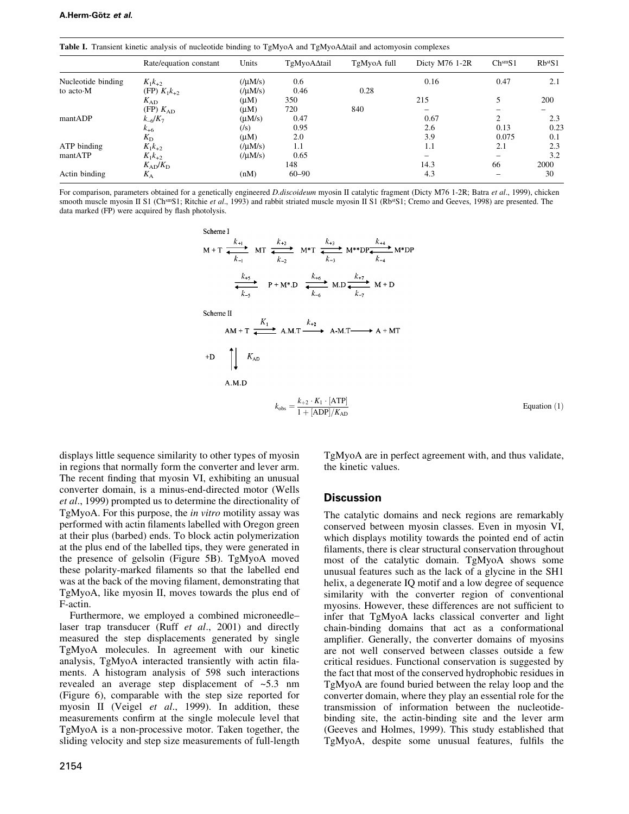| <b>Table 1.</b> Transient Kinetic analysis of nucleotide binding to TgMy0A and TgMy0AΔtafi and actomyosin complexes |                        |                  |             |             |                  |                     |             |
|---------------------------------------------------------------------------------------------------------------------|------------------------|------------------|-------------|-------------|------------------|---------------------|-------------|
|                                                                                                                     | Rate/equation constant | Units            | TgMyoA∆tail | TgMyoA full | Dicty $M76$ 1-2R | Ch <sup>sm</sup> S1 | $Rb^{st}S1$ |
| Nucleotide binding                                                                                                  | $K_1k_{+2}$            | $($ / $\mu$ M/s) | 0.6         |             | 0.16             | 0.47                | 2.1         |
| to acto M                                                                                                           | (FP) $K_1k_{+2}$       | $($ / $\mu$ M/s) | 0.46        | 0.28        |                  |                     |             |
|                                                                                                                     | $K_{AD}$               | $(\mu M)$        | 350         |             | 215              |                     | 200         |
|                                                                                                                     | (FP) K <sub>AD</sub>   | $(\mu M)$        | 720         | 840         |                  |                     |             |
| mantADP                                                                                                             | $k_{-6}/K_7$           | $(\mu M/s)$      | 0.47        |             | 0.67             |                     | 2.3         |
|                                                                                                                     | $k_{+6}$               | $(\sqrt{s})$     | 0.95        |             | 2.6              | 0.13                | 0.23        |
|                                                                                                                     | $K_{\rm D}$            | (uM)             | 2.0         |             | 3.9              | 0.075               | 0.1         |
| ATP binding                                                                                                         | $K_1k_{+2}$            | $($ / $\mu$ M/s) | 1.1         |             | 1.1              | 2.1                 | 2.3         |
| mantATP                                                                                                             | $K_1k_{+2}$            | $($ / $(M/s)$    | 0.65        |             |                  |                     | 3.2         |
|                                                                                                                     | $K_{AD}/K_{D}$         |                  | 148         |             | 14.3             | 66                  | 2000        |
| Actin binding                                                                                                       | $K_{\rm A}$            | (nM)             | $60 - 90$   |             | 4.3              |                     | 30          |

Table I. Transient kinetic analysis of nucleotide binding to TgMyoA and TgMyoADtail and actomyosin complexes

 $\sim$ 

For comparison, parameters obtained for a genetically engineered *D.discoideum* myosin II catalytic fragment (Dicty M76 1-2R; Batra et al., 1999), chicken smooth muscle myosin II S1 (ChsmS1; Ritchie et al., 1993) and rabbit striated muscle myosin II S1 (RbsS1; Cremo and Geeves, 1998) are presented. The data marked (FP) were acquired by flash photolysis.

Scheme I

\n
$$
M + T \xrightarrow{k_{+1}} MT \xrightarrow{k_{+2}} MT \xrightarrow{k_{+2}} M^*T \xrightarrow{k_{+3}} M^{**}DP \xrightarrow{k_{+4}} M^*DP
$$
\n
$$
\xrightarrow{k_{+5}} P + M^* \cdot D \xrightarrow{k_{+6}} M \cdot D \xrightarrow{k_{+7}} M + D
$$
\nScheme II

\n
$$
AM + T \xrightarrow{k_{+1}} A \cdot M \cdot T \xrightarrow{k_{+2}} A \cdot M \cdot T \xrightarrow{k_{+2}} A + MT
$$
\n
$$
+ D \qquad \bigcup_{k_{\text{AD}}} K_{\text{AD}}
$$
\n
$$
k_{\text{obs}} = \frac{k_{+2} \cdot K_1 \cdot [\text{ATP}]}{1 + [\text{ADP}]/K_{\text{AD}}}
$$

displays little sequence similarity to other types of myosin in regions that normally form the converter and lever arm. The recent finding that myosin VI, exhibiting an unusual converter domain, is a minus-end-directed motor (Wells et al., 1999) prompted us to determine the directionality of TgMyoA. For this purpose, the in vitro motility assay was performed with actin filaments labelled with Oregon green at their plus (barbed) ends. To block actin polymerization at the plus end of the labelled tips, they were generated in the presence of gelsolin (Figure 5B). TgMyoA moved these polarity-marked filaments so that the labelled end was at the back of the moving filament, demonstrating that TgMyoA, like myosin II, moves towards the plus end of F-actin.

Furthermore, we employed a combined microneedlelaser trap transducer (Ruff et al., 2001) and directly measured the step displacements generated by single TgMyoA molecules. In agreement with our kinetic analysis, TgMyoA interacted transiently with actin filaments. A histogram analysis of 598 such interactions revealed an average step displacement of ~5.3 nm (Figure 6), comparable with the step size reported for myosin II (Veigel et al., 1999). In addition, these measurements confirm at the single molecule level that TgMyoA is a non-processive motor. Taken together, the sliding velocity and step size measurements of full-length

2154

TgMyoA are in perfect agreement with, and thus validate, the kinetic values.

Equation  $(1)$ 

## **Discussion**

The catalytic domains and neck regions are remarkably conserved between myosin classes. Even in myosin VI, which displays motility towards the pointed end of actin filaments, there is clear structural conservation throughout most of the catalytic domain. TgMyoA shows some unusual features such as the lack of a glycine in the SH1 helix, a degenerate IQ motif and a low degree of sequence similarity with the converter region of conventional myosins. However, these differences are not sufficient to infer that TgMyoA lacks classical converter and light chain-binding domains that act as a conformational amplifier. Generally, the converter domains of myosins are not well conserved between classes outside a few critical residues. Functional conservation is suggested by the fact that most of the conserved hydrophobic residues in TgMyoA are found buried between the relay loop and the converter domain, where they play an essential role for the transmission of information between the nucleotidebinding site, the actin-binding site and the lever arm (Geeves and Holmes, 1999). This study established that TgMyoA, despite some unusual features, fulfils the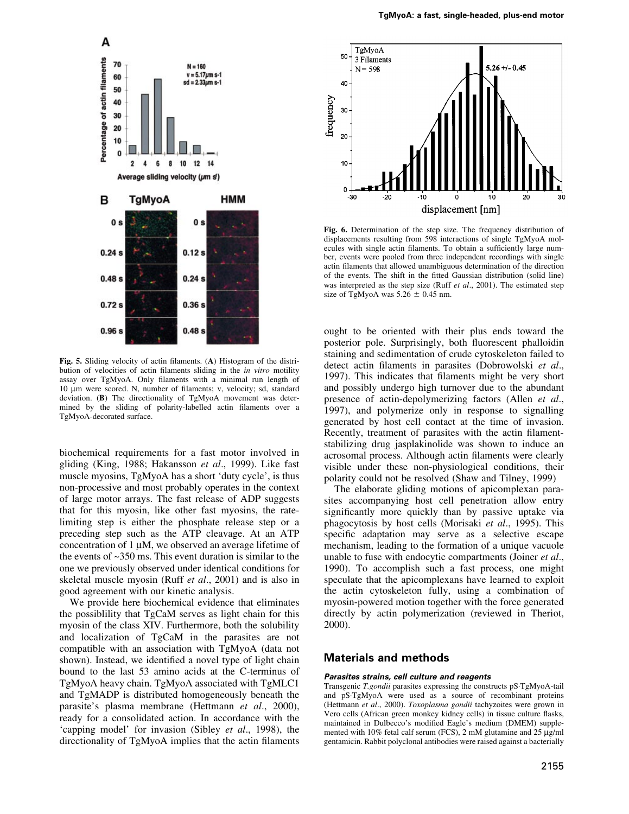

Fig. 5. Sliding velocity of actin filaments. (A) Histogram of the distribution of velocities of actin filaments sliding in the in vitro motility assay over TgMyoA. Only filaments with a minimal run length of 10 μm were scored. N, number of filaments; v, velocity; sd, standard deviation. (B) The directionality of TgMyoA movement was determined by the sliding of polarity-labelled actin filaments over a TgMyoA-decorated surface.

biochemical requirements for a fast motor involved in gliding (King, 1988; Hakansson et al., 1999). Like fast muscle myosins, TgMyoA has a short `duty cycle', is thus non-processive and most probably operates in the context of large motor arrays. The fast release of ADP suggests that for this myosin, like other fast myosins, the ratelimiting step is either the phosphate release step or a preceding step such as the ATP cleavage. At an ATP concentration of  $1 \mu$ M, we observed an average lifetime of the events of ~350 ms. This event duration is similar to the one we previously observed under identical conditions for skeletal muscle myosin (Ruff et al., 2001) and is also in good agreement with our kinetic analysis.

We provide here biochemical evidence that eliminates the possiblility that TgCaM serves as light chain for this myosin of the class XIV. Furthermore, both the solubility and localization of TgCaM in the parasites are not compatible with an association with TgMyoA (data not shown). Instead, we identified a novel type of light chain bound to the last 53 amino acids at the C-terminus of TgMyoA heavy chain. TgMyoA associated with TgMLC1 and TgMADP is distributed homogeneously beneath the parasite's plasma membrane (Hettmann et al., 2000), ready for a consolidated action. In accordance with the `capping model' for invasion (Sibley et al., 1998), the directionality of TgMyoA implies that the actin filaments



Fig. 6. Determination of the step size. The frequency distribution of displacements resulting from 598 interactions of single TgMyoA molecules with single actin filaments. To obtain a sufficiently large number, events were pooled from three independent recordings with single actin filaments that allowed unambiguous determination of the direction of the events. The shift in the fitted Gaussian distribution (solid line) was interpreted as the step size (Ruff *et al.*, 2001). The estimated step size of TgMyoA was  $5.26 \pm 0.45$  nm.

ought to be oriented with their plus ends toward the posterior pole. Surprisingly, both fluorescent phalloidin staining and sedimentation of crude cytoskeleton failed to detect actin filaments in parasites (Dobrowolski et al., 1997). This indicates that filaments might be very short and possibly undergo high turnover due to the abundant presence of actin-depolymerizing factors (Allen et al., 1997), and polymerize only in response to signalling generated by host cell contact at the time of invasion. Recently, treatment of parasites with the actin filamentstabilizing drug jasplakinolide was shown to induce an acrosomal process. Although actin filaments were clearly visible under these non-physiological conditions, their polarity could not be resolved (Shaw and Tilney, 1999)

The elaborate gliding motions of apicomplexan parasites accompanying host cell penetration allow entry significantly more quickly than by passive uptake via phagocytosis by host cells (Morisaki et al., 1995). This specific adaptation may serve as a selective escape mechanism, leading to the formation of a unique vacuole unable to fuse with endocytic compartments (Joiner et al., 1990). To accomplish such a fast process, one might speculate that the apicomplexans have learned to exploit the actin cytoskeleton fully, using a combination of myosin-powered motion together with the force generated directly by actin polymerization (reviewed in Theriot, 2000).

## Materials and methods

#### Parasites strains, cell culture and reagents

Transgenic T.gondii parasites expressing the constructs pS´TgMyoA-tail and pS´TgMyoA were used as a source of recombinant proteins (Hettmann et al., 2000). Toxoplasma gondii tachyzoites were grown in Vero cells (African green monkey kidney cells) in tissue culture flasks, maintained in Dulbecco's modified Eagle's medium (DMEM) supplemented with 10% fetal calf serum (FCS),  $2 \text{ mM}$  glutamine and  $25 \text{ µg/ml}$ gentamicin. Rabbit polyclonal antibodies were raised against a bacterially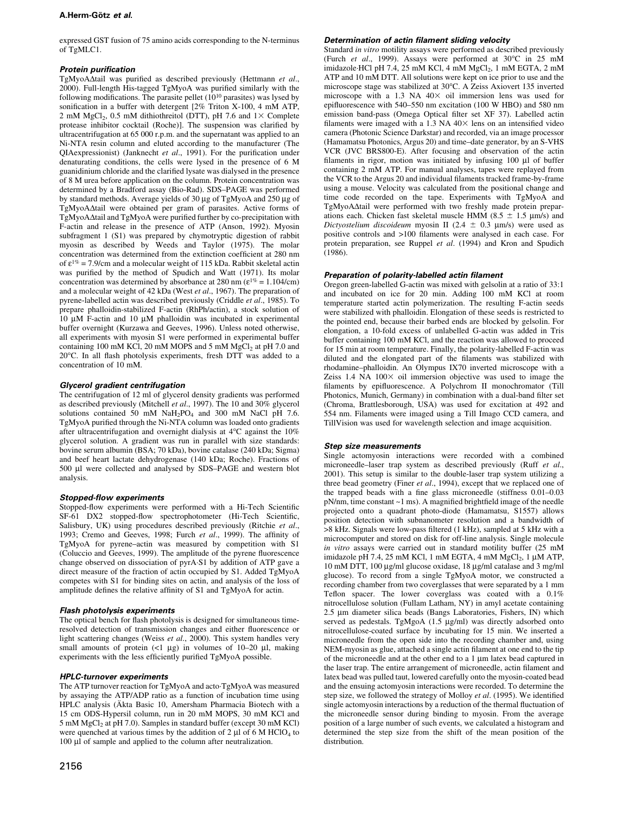#### A.Herm-Götz et al.

expressed GST fusion of 75 amino acids corresponding to the N-terminus of TgMLC1.

#### **Protein purification**

TgMyoA $\Delta$ tail was purified as described previously (Hettmann et al., 2000). Full-length His-tagged TgMyoA was purified similarly with the following modifications. The parasite pellet  $(10^{10})$  parasites) was lysed by sonification in a buffer with detergent [2% Triton X-100, 4 mM ATP, 2 mM MgCl<sub>2</sub>, 0.5 mM dithiothreitol (DTT), pH 7.6 and  $1 \times$  Complete protease inhibitor cocktail (Roche)]. The suspension was clarified by ultracentrifugation at 65 000 r.p.m. and the supernatant was applied to an Ni-NTA resin column and eluted according to the manufacturer (The QIAexpressionist) (Janknecht et al., 1991). For the purification under denaturating conditions, the cells were lysed in the presence of 6 M guanidinium chloride and the clarified lysate was dialysed in the presence of 8 M urea before application on the column. Protein concentration was determined by a Bradford assay (Bio-Rad). SDS-PAGE was performed by standard methods. Average yields of 30 µg of TgMyoA and 250 µg of TgMyoA $\Delta$ tail were obtained per gram of parasites. Active forms of  $TgMyoA\Delta$ tail and  $TgMyoA$  were purified further by co-precipitation with F-actin and release in the presence of ATP (Anson, 1992). Myosin subfragment 1 (S1) was prepared by chymotryptic digestion of rabbit myosin as described by Weeds and Taylor (1975). The molar concentration was determined from the extinction coefficient at 280 nm of  $\varepsilon^{1\%}$  = 7.9/cm and a molecular weight of 115 kDa. Rabbit skeletal actin was purified by the method of Spudich and Watt (1971). Its molar concentration was determined by absorbance at 280 nm ( $\varepsilon^{1\%}$  = 1.104/cm) and a molecular weight of 42 kDa (West et al., 1967). The preparation of pyrene-labelled actin was described previously (Criddle et al., 1985). To prepare phalloidin-stabilized F-actin (RhPh/actin), a stock solution of  $10 \mu$ M F-actin and  $10 \mu$ M phalloidin was incubated in experimental buffer overnight (Kurzawa and Geeves, 1996). Unless noted otherwise, all experiments with myosin S1 were performed in experimental buffer containing 100 mM KCl, 20 mM MOPS and 5 mM  $MgCl<sub>2</sub>$  at pH 7.0 and  $20^{\circ}$ C. In all flash photolysis experiments, fresh DTT was added to a concentration of 10 mM.

#### Glycerol gradient centrifugation

The centrifugation of 12 ml of glycerol density gradients was performed as described previously (Mitchell et al., 1997). The 10 and  $30\%$  glycerol solutions contained 50 mM  $NaH<sub>2</sub>PO<sub>4</sub>$  and 300 mM NaCl pH 7.6. TgMyoA purified through the Ni-NTA column was loaded onto gradients after ultracentrifugation and overnight dialysis at 4°C against the 10% glycerol solution. A gradient was run in parallel with size standards: bovine serum albumin (BSA; 70 kDa), bovine catalase (240 kDa; Sigma) and beef heart lactate dehydrogenase (140 kDa; Roche). Fractions of 500 µl were collected and analysed by SDS-PAGE and western blot analysis.

#### Stopped-flow experiments

Stopped-flow experiments were performed with a Hi-Tech Scientific SF-61 DX2 stopped-flow spectrophotometer (Hi-Tech Scientific, Salisbury, UK) using procedures described previously (Ritchie et al., 1993; Cremo and Geeves, 1998; Furch et al., 1999). The affinity of TgMyoA for pyrene-actin was measured by competition with S1 (Coluccio and Geeves, 1999). The amplitude of the pyrene fluorescence change observed on dissociation of pyrA´S1 by addition of ATP gave a direct measure of the fraction of actin occupied by S1. Added TgMyoA competes with S1 for binding sites on actin, and analysis of the loss of amplitude defines the relative affinity of S1 and TgMyoA for actin.

#### Flash photolysis experiments

The optical bench for flash photolysis is designed for simultaneous timeresolved detection of transmission changes and either fluorescence or light scattering changes (Weiss et al., 2000). This system handles very small amounts of protein  $(1 \ \mu g)$  in volumes of 10-20  $\mu$ l, making experiments with the less efficiently purified TgMyoA possible.

#### HPLC-turnover experiments

The ATP turnover reaction for TgMyoA and acto $TgMy$ oA was measured by assaying the ATP/ADP ratio as a function of incubation time using HPLC analysis (Äkta Basic 10, Amersham Pharmacia Biotech with a 15 cm ODS-Hypersil column, run in 20 mM MOPS, 30 mM KCl and 5 mM MgCl<sub>2</sub> at pH 7.0). Samples in standard buffer (except 30 mM KCl) were quenched at various times by the addition of 2  $\mu$ l of 6 M HClO<sub>4</sub> to  $100 \mu l$  of sample and applied to the column after neutralization.

#### Determination of actin filament sliding velocity

Standard in vitro motility assays were performed as described previously (Furch et al., 1999). Assays were performed at 30°C in 25 mM imidazole $HCl$  pH 7.4, 25 mM KCl, 4 mM MgCl<sub>2</sub>, 1 mM EGTA, 2 mM ATP and 10 mM DTT. All solutions were kept on ice prior to use and the microscope stage was stabilized at 30°C. A Zeiss Axiovert 135 inverted microscope with a 1.3 NA  $40\times$  oil immersion lens was used for epifluorescence with 540-550 nm excitation (100 W HBO) and 580 nm emission band-pass (Omega Optical filter set XF 37). Labelled actin filaments were imaged with a  $1.3$  NA  $40\times$  lens on an intensified video camera (Photonic Science Darkstar) and recorded, via an image processor (Hamamatsu Photonics, Argus 20) and time-date generator, by an S-VHS VCR (JVC BRS800-E). After focusing and observation of the actin filaments in rigor, motion was initiated by infusing 100 µl of buffer containing 2 mM ATP. For manual analyses, tapes were replayed from the VCR to the Argus 20 and individual filaments tracked frame-by-frame using a mouse. Velocity was calculated from the positional change and time code recorded on the tape. Experiments with TgMyoA and TgMyoA $\Delta$ tail were performed with two freshly made protein preparations each. Chicken fast skeletal muscle HMM (8.5  $\pm$  1.5 µm/s) and Dictyostelium discoideum myosin II (2.4  $\pm$  0.3 µm/s) were used as positive controls and >100 filaments were analysed in each case. For protein preparation, see Ruppel et al. (1994) and Kron and Spudich (1986).

#### Preparation of polarity-labelled actin filament

Oregon green-labelled G-actin was mixed with gelsolin at a ratio of 33:1 and incubated on ice for 20 min. Adding 100 mM KCl at room temperature started actin polymerization. The resulting F-actin seeds were stabilized with phalloidin. Elongation of these seeds is restricted to the pointed end, because their barbed ends are blocked by gelsolin. For elongation, a 10-fold excess of unlabelled G-actin was added in Tris buffer containing 100 mM KCl, and the reaction was allowed to proceed for 15 min at room temperature. Finally, the polarity-labelled F-actin was diluted and the elongated part of the filaments was stabilized with rhodamine-phalloidin. An Olympus IX70 inverted microscope with a Zeiss  $1.4$  NA  $100 \times$  oil immersion objective was used to image the filaments by epifluorescence. A Polychrom II monochromator (Till Photonics, Munich, Germany) in combination with a dual-band filter set (Chroma, Brattlesborough, USA) was used for excitation at 492 and 554 nm. Filaments were imaged using a Till Imago CCD camera, and TillVision was used for wavelength selection and image acquisition.

#### Step size measurements

Single actomyosin interactions were recorded with a combined microneedle-laser trap system as described previously (Ruff et al., 2001). This setup is similar to the double-laser trap system utilizing a three bead geometry (Finer et al., 1994), except that we replaced one of the trapped beads with a fine glass microneedle (stiffness  $0.01-0.03$  $pN/nm$ , time constant ~1 ms). A magnified brightfield image of the needle projected onto a quadrant photo-diode (Hamamatsu, S1557) allows position detection with subnanometer resolution and a bandwidth of >8 kHz. Signals were low-pass filtered (1 kHz), sampled at 5 kHz with a microcomputer and stored on disk for off-line analysis. Single molecule in vitro assays were carried out in standard motility buffer (25 mM imidazole pH 7.4, 25 mM KCl, 1 mM EGTA, 4 mM  $MgCl<sub>2</sub>$ , 1 µM ATP,  $10 \text{ mM DTT}$ ,  $100 \mu\text{g/ml}$  glucose oxidase,  $18 \mu\text{g/ml}$  catalase and 3 mg/ml glucose). To record from a single TgMyoA motor, we constructed a recording chamber from two coverglasses that were separated by a 1 mm Teflon spacer. The lower coverglass was coated with a  $0.1\%$ nitrocellulose solution (Fullam Latham, NY) in amyl acetate containing 2.5 µm diameter silica beads (Bangs Laboratories, Fishers, IN) which served as pedestals. TgMgoA  $(1.5 \mu g/ml)$  was directly adsorbed onto nitrocellulose-coated surface by incubating for 15 min. We inserted a microneedle from the open side into the recording chamber and, using NEM-myosin as glue, attached a single actin filament at one end to the tip of the microneedle and at the other end to a  $1 \mu m$  latex bead captured in the laser trap. The entire arrangement of microneedle, actin filament and latex bead was pulled taut, lowered carefully onto the myosin-coated bead and the ensuing actomyosin interactions were recorded. To determine the step size, we followed the strategy of Molloy et al. (1995). We identified single actomyosin interactions by a reduction of the thermal fluctuation of the microneedle sensor during binding to myosin. From the average position of a large number of such events, we calculated a histogram and determined the step size from the shift of the mean position of the distribution.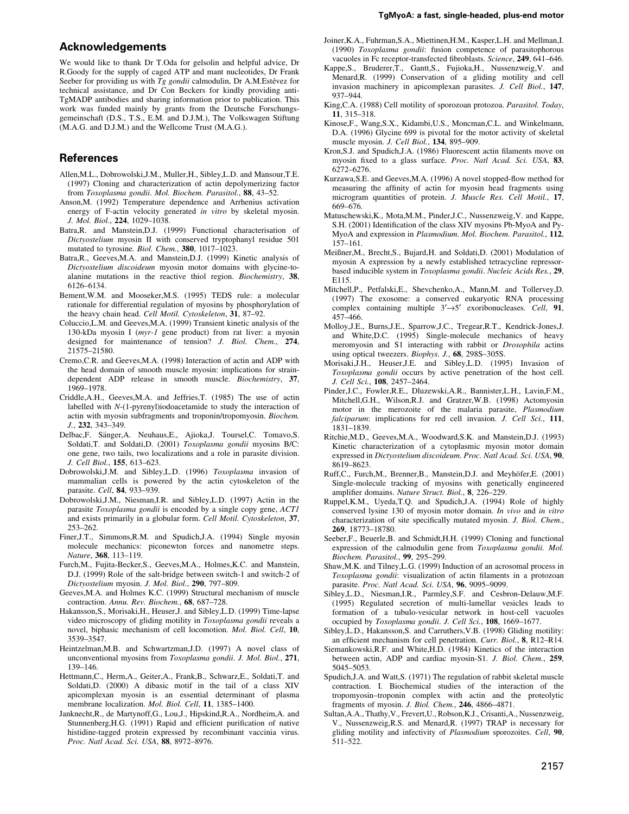### Acknowledgements

We would like to thank Dr T.Oda for gelsolin and helpful advice, Dr R.Goody for the supply of caged ATP and mant nucleotides, Dr Frank Seeber for providing us with  $Tg$  gondii calmodulin, Dr A.M. Estévez for technical assistance, and Dr Con Beckers for kindly providing anti-TgMADP antibodies and sharing information prior to publication. This work was funded mainly by grants from the Deutsche Forschungsgemeinschaft (D.S., T.S., E.M. and D.J.M.), The Volkswagen Stiftung (M.A.G. and D.J.M.) and the Wellcome Trust (M.A.G.).

## **References**

- Allen,M.L., Dobrowolski,J.M., Muller,H., Sibley,L.D. and Mansour,T.E. (1997) Cloning and characterization of actin depolymerizing factor from Toxoplasma gondii. Mol. Biochem. Parasitol.,  $88, 43-52$ .
- Anson,M. (1992) Temperature dependence and Arrhenius activation energy of F-actin velocity generated in vitro by skeletal myosin. J. Mol. Biol., 224, 1029-1038.
- Batra,R. and Manstein,D.J. (1999) Functional characterisation of Dictyostelium myosin II with conserved tryptophanyl residue 501 mutated to tyrosine. Biol. Chem., 380, 1017-1023.
- Batra,R., Geeves,M.A. and Manstein,D.J. (1999) Kinetic analysis of Dictyostelium discoideum myosin motor domains with glycine-toalanine mutations in the reactive thiol region. Biochemistry, 38, 6126±6134.
- Bement,W.M. and Mooseker,M.S. (1995) TEDS rule: a molecular rationale for differential regulation of myosins by phosphorylation of the heavy chain head. Cell Motil. Cytoskeleton, 31, 87-92.
- Coluccio,L.M. and Geeves,M.A. (1999) Transient kinetic analysis of the 130-kDa myosin I (myr-1 gene product) from rat liver: a myosin designed for maintenance of tension? J. Biol. Chem., 274, 21575±21580.
- Cremo,C.R. and Geeves,M.A. (1998) Interaction of actin and ADP with the head domain of smooth muscle myosin: implications for straindependent ADP release in smooth muscle. Biochemistry, 37, 1969±1978.
- Criddle,A.H., Geeves,M.A. and Jeffries,T. (1985) The use of actin labelled with N-(1-pyrenyl)iodoacetamide to study the interaction of actin with myosin subfragments and troponin/tropomyosin. Biochem. J., 232, 343-349.
- Delbac,F. Sänger,A. Neuhaus,E., Ajioka,J. Toursel,C. Tomavo,S. Soldati,T. and Soldati,D. (2001) Toxoplasma gondii myosins B/C: one gene, two tails, two localizations and a role in parasite division. J. Cell Biol., 155, 613-623.
- Dobrowolski,J.M. and Sibley,L.D. (1996) Toxoplasma invasion of mammalian cells is powered by the actin cytoskeleton of the parasite. Cell, 84, 933-939.
- Dobrowolski,J.M., Niesman,I.R. and Sibley,L.D. (1997) Actin in the parasite Toxoplasma gondii is encoded by a single copy gene, ACT1 and exists primarily in a globular form. Cell Motil. Cytoskeleton, 37, 253±262.
- Finer,J.T., Simmons,R.M. and Spudich,J.A. (1994) Single myosin molecule mechanics: piconewton forces and nanometre steps. Nature, 368, 113-119.
- Furch,M., Fujita-Becker,S., Geeves,M.A., Holmes,K.C. and Manstein, D.J. (1999) Role of the salt-bridge between switch-1 and switch-2 of Dictyostelium myosin. J. Mol. Biol., 290, 797-809.
- Geeves,M.A. and Holmes K.C. (1999) Structural mechanism of muscle contraction. Annu. Rev. Biochem., 68, 687-728.
- Hakansson,S., Morisaki,H., Heuser,J. and Sibley,L.D. (1999) Time-lapse video microscopy of gliding motility in Toxoplasma gondii reveals a novel, biphasic mechanism of cell locomotion. Mol. Biol. Cell, 10, 3539±3547.
- Heintzelman,M.B. and Schwartzman,J.D. (1997) A novel class of unconventional myosins from Toxoplasma gondii. J. Mol. Biol., 271, 139±146.
- Hettmann,C., Herm,A., Geiter,A., Frank,B., Schwarz,E., Soldati,T. and Soldati,D. (2000) A dibasic motif in the tail of a class XIV apicomplexan myosin is an essential determinant of plasma membrane localization. Mol. Biol. Cell, 11, 1385-1400.
- Janknecht,R., de Martynoff,G., Lou,J., Hipskind,R.A., Nordheim,A. and Stunnenberg, H.G. (1991) Rapid and efficient purification of native histidine-tagged protein expressed by recombinant vaccinia virus. Proc. Natl Acad. Sci. USA, 88, 8972-8976.
- Joiner,K.A., Fuhrman,S.A., Miettinen,H.M., Kasper,L.H. and Mellman,I. (1990) Toxoplasma gondii: fusion competence of parasitophorous vacuoles in Fc receptor-transfected fibroblasts. Science, 249, 641-646.
- Kappe,S., Bruderer,T., Gantt,S., Fujioka,H., Nussenzweig,V. and Menard,R. (1999) Conservation of a gliding motility and cell invasion machinery in apicomplexan parasites. J. Cell Biol., 147, 937±944.
- King,C.A. (1988) Cell motility of sporozoan protozoa. Parasitol. Today, 11, 315-318.
- Kinose,F., Wang,S.X., Kidambi,U.S., Moncman,C.L. and Winkelmann, D.A. (1996) Glycine 699 is pivotal for the motor activity of skeletal muscle myosin. J. Cell Biol.,  $134$ , 895-909.
- Kron, S.J. and Spudich, J.A. (1986) Fluorescent actin filaments move on myosin fixed to a glass surface. Proc. Natl Acad. Sci. USA, 83, 6272±6276.
- Kurzawa, S.E. and Geeves, M.A. (1996) A novel stopped-flow method for measuring the affinity of actin for myosin head fragments using microgram quantities of protein. J. Muscle Res. Cell Motil., 17, 669±676.
- Matuschewski,K., Mota,M.M., Pinder,J.C., Nussenzweig,V. and Kappe, S.H. (2001) Identification of the class XIV myosins Pb-MyoA and Py-MyoA and expression in Plasmodium. Mol. Biochem. Parasitol., 112, 157±161.
- Meiûner,M., Brecht,S., Bujard,H. and Soldati,D. (2001) Modulation of myosin A expression by a newly established tetracycline repressorbased inducible system in Toxoplasma gondii. Nucleic Acids Res., 29, E115.
- Mitchell,P., Petfalski,E., Shevchenko,A., Mann,M. and Tollervey,D. (1997) The exosome: a conserved eukaryotic RNA processing complex containing multiple  $3' \rightarrow 5'$  exoribonucleases. Cell, 91, 457±466.
- Molloy,J.E., Burns,J.E., Sparrow,J.C., Tregear,R.T., Kendrick-Jones,J. and White,D.C. (1995) Single-molecule mechanics of heavy meromyosin and S1 interacting with rabbit or Drosophila actins using optical tweezers. Biophys. J., 68, 298S-305S.
- Morisaki,J.H., Heuser,J.E. and Sibley,L.D. (1995) Invasion of Toxoplasma gondii occurs by active penetration of the host cell. J. Cell Sci., 108, 2457-2464.
- Pinder,J.C., Fowler,R.E., Dluzewski,A.R., Bannister,L.H., Lavin,F.M., Mitchell,G.H., Wilson,R.J. and Gratzer,W.B. (1998) Actomyosin motor in the merozoite of the malaria parasite, Plasmodium falciparum: implications for red cell invasion. J. Cell Sci., 111, 1831±1839.
- Ritchie,M.D., Geeves,M.A., Woodward,S.K. and Manstein,D.J. (1993) Kinetic characterization of a cytoplasmic myosin motor domain expressed in Dictyostelium discoideum. Proc. Natl Acad. Sci. USA, 90, 8619-8623.
- Ruff,C., Furch,M., Brenner,B., Manstein,D.J. and Meyhöfer,E. (2001) Single-molecule tracking of myosins with genetically engineered amplifier domains. Nature Struct. Biol., 8, 226-229.
- Ruppel,K.M., Uyeda,T.Q. and Spudich,J.A. (1994) Role of highly conserved lysine 130 of myosin motor domain. In vivo and in vitro characterization of site specifically mutated myosin. J. Biol. Chem., 269, 18773±18780.
- Seeber,F., Beuerle,B. and Schmidt,H.H. (1999) Cloning and functional expression of the calmodulin gene from Toxoplasma gondii. Mol. Biochem. Parasitol., 99, 295-299.
- Shaw,M.K. and Tilney,L.G. (1999) Induction of an acrosomal process in Toxoplasma gondii: visualization of actin filaments in a protozoan parasite. Proc. Natl Acad. Sci. USA, 96, 9095-9099.
- Sibley,L.D., Niesman,I.R., Parmley,S.F. and Cesbron-Delauw,M.F. (1995) Regulated secretion of multi-lamellar vesicles leads to formation of a tubulo-vesicular network in host-cell vacuoles occupied by Toxoplasma gondii. J. Cell Sci., 108, 1669-1677.
- Sibley,L.D., Hakansson,S. and Carruthers,V.B. (1998) Gliding motility: an efficient mechanism for cell penetration. Curr. Biol., 8, R12-R14.
- Siemankowski,R.F. and White,H.D. (1984) Kinetics of the interaction between actin, ADP and cardiac myosin-S1. J. Biol. Chem., 259, 5045±5053.
- Spudich,J.A. and Watt,S. (1971) The regulation of rabbit skeletal muscle contraction. I. Biochemical studies of the interaction of the tropomyosin±troponin complex with actin and the proteolytic fragments of myosin. J. Biol. Chem., 246, 4866-4871.
- Sultan,A.A., Thathy,V., Frevert,U., Robson,K.J., Crisanti,A., Nussenzweig, V., Nussenzweig,R.S. and Menard,R. (1997) TRAP is necessary for gliding motility and infectivity of Plasmodium sporozoites. Cell, 90, 511±522.